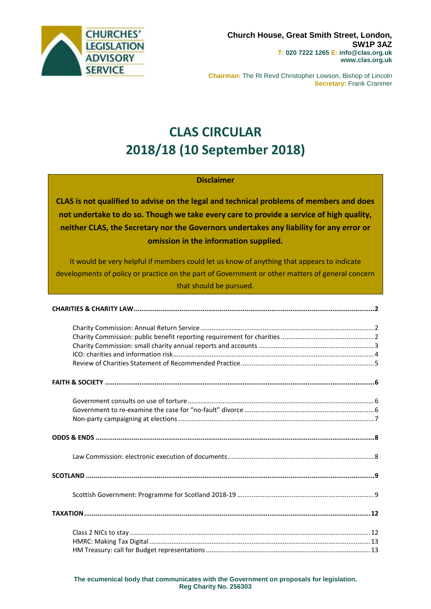

**Chairman:** The Rt Revd Christopher Lowson, Bishop of Lincoln **Secretary:** Frank Cranmer

# **CLAS CIRCULAR 2018/18 (10 September 2018)**

### **Disclaimer**

**CLAS is not qualified to advise on the legal and technical problems of members and does not undertake to do so. Though we take every care to provide a service of high quality, neither CLAS, the Secretary nor the Governors undertakes any liability for any error or omission in the information supplied.**

It would be very helpful if members could let us know of anything that appears to indicate developments of policy or practice on the part of Government or other matters of general concern that should be pursued.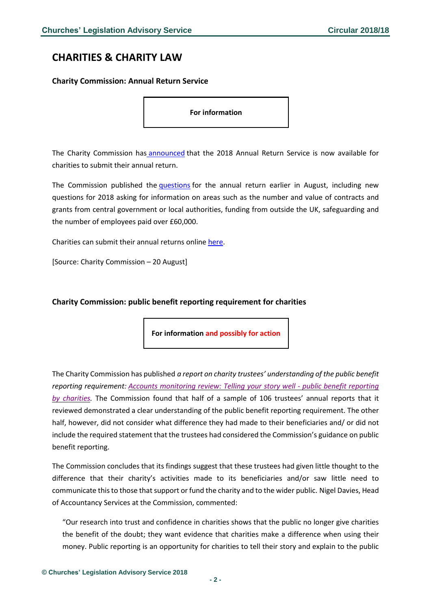# <span id="page-1-0"></span>**CHARITIES & CHARITY LAW**

### <span id="page-1-1"></span>**Charity Commission: Annual Return Service**

**For information**

The Charity Commission has [announced](http://www.gov.uk/government/news/charity-annual-return-2018#history) that the 2018 Annual Return Service is now available for charities to submit their annual return.

The Commission published the *[questions](http://assets.publishing.service.gov.uk/government/uploads/system/uploads/attachment_data/file/734659/Annual_return_questions_August_2018_web_odt__002_.odt)* for the annual return earlier in August, including new questions for 2018 asking for information on areas such as the number and value of contracts and grants from central government or local authorities, funding from outside the UK, safeguarding and the number of employees paid over £60,000.

Charities can submit their annual returns online [here.](http://www.gov.uk/send-charity-annual-return)

[Source: Charity Commission – 20 August]

### <span id="page-1-2"></span>**Charity Commission: public benefit reporting requirement for charities**

**For information and possibly for action**

The Charity Commission has published *a report on charity trustees' understanding of the public benefit reporting requirement: Accounts [monitoring](https://assets.publishing.service.gov.uk/government/uploads/system/uploads/attachment_data/file/728877/Accounts_monitoring_public_benefit_reporting.pdf) review: Telling your story well - public benefit reporting by [charities.](https://assets.publishing.service.gov.uk/government/uploads/system/uploads/attachment_data/file/728877/Accounts_monitoring_public_benefit_reporting.pdf)* The Commission found that half of a sample of 106 trustees' annual reports that it reviewed demonstrated a clear understanding of the public benefit reporting requirement. The other half, however, did not consider what difference they had made to their beneficiaries and/ or did not include the required statement that the trustees had considered the Commission's guidance on public benefit reporting.

The Commission concludes that its findings suggest that these trustees had given little thought to the difference that their charity's activities made to its beneficiaries and/or saw little need to communicate this to those that support or fund the charity and to the wider public. Nigel Davies, Head of Accountancy Services at the Commission, commented:

"Our research into trust and confidence in charities shows that the public no longer give charities the benefit of the doubt; they want evidence that charities make a difference when using their money. Public reporting is an opportunity for charities to tell their story and explain to the public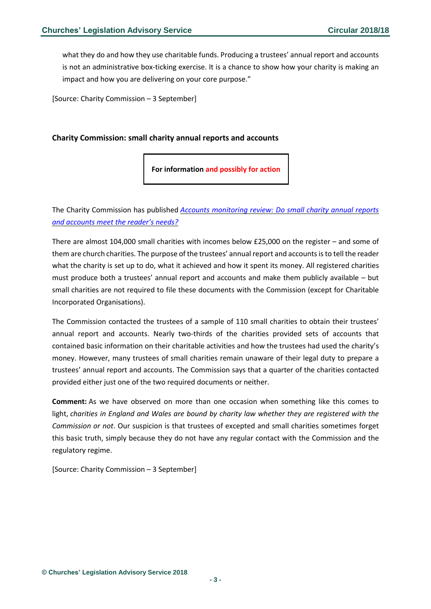what they do and how they use charitable funds. Producing a trustees' annual report and accounts is not an administrative box-ticking exercise. It is a chance to show how your charity is making an impact and how you are delivering on your core purpose."

[Source: Charity Commission – 3 September]

### <span id="page-2-0"></span>**Charity Commission: small charity annual reports and accounts**

**For information and possibly for action**

The Charity Commission has published *Accounts [monitoring](https://assets.publishing.service.gov.uk/government/uploads/system/uploads/attachment_data/file/728876/Accounts_monitoring_small_charities_accounts_quality.pdf) review: Do small charity annual reports and [accounts](https://assets.publishing.service.gov.uk/government/uploads/system/uploads/attachment_data/file/728876/Accounts_monitoring_small_charities_accounts_quality.pdf) meet the reader's needs?*

There are almost 104,000 small charities with incomes below £25,000 on the register – and some of them are church charities. The purpose of the trustees' annual report and accountsisto tell the reader what the charity is set up to do, what it achieved and how it spent its money. All registered charities must produce both a trustees' annual report and accounts and make them publicly available – but small charities are not required to file these documents with the Commission (except for Charitable Incorporated Organisations).

The Commission contacted the trustees of a sample of 110 small charities to obtain their trustees' annual report and accounts. Nearly two-thirds of the charities provided sets of accounts that contained basic information on their charitable activities and how the trustees had used the charity's money. However, many trustees of small charities remain unaware of their legal duty to prepare a trustees' annual report and accounts. The Commission says that a quarter of the charities contacted provided either just one of the two required documents or neither.

**Comment:** As we have observed on more than one occasion when something like this comes to light, *charities in England and Wales are bound by charity law whether they are registered with the Commission or not*. Our suspicion is that trustees of excepted and small charities sometimes forget this basic truth, simply because they do not have any regular contact with the Commission and the regulatory regime.

[Source: Charity Commission – 3 September]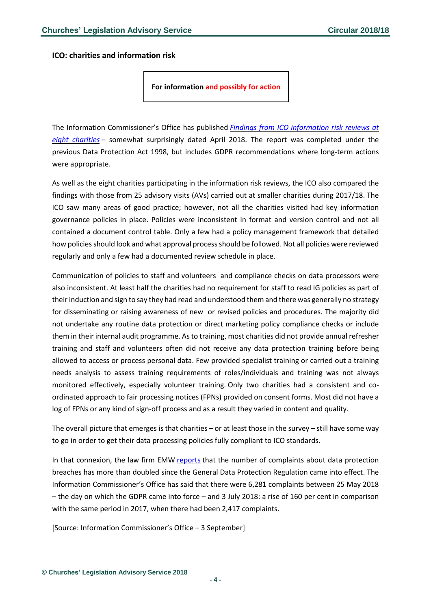<span id="page-3-0"></span>**ICO: charities and information risk**

**For information and possibly for action**

The Information Commissioner's Office has published *Findings from ICO [information](https://ico.org.uk/media/action-weve-taken/audits-and-advisory-visits/2259675/charities-audit-201808.pdf) risk reviews at eight [charities](https://ico.org.uk/media/action-weve-taken/audits-and-advisory-visits/2259675/charities-audit-201808.pdf)* – somewhat surprisingly dated April 2018. The report was completed under the previous Data Protection Act 1998, but includes GDPR recommendations where long-term actions were appropriate.

As well as the eight charities participating in the information risk reviews, the ICO also compared the findings with those from 25 advisory visits (AVs) carried out at smaller charities during 2017/18. The ICO saw many areas of good practice; however, not all the charities visited had key information governance policies in place. Policies were inconsistent in format and version control and not all contained a document control table. Only a few had a policy management framework that detailed how policies should look and what approval process should be followed. Not all policies were reviewed regularly and only a few had a documented review schedule in place.

Communication of policies to staff and volunteers and compliance checks on data processors were also inconsistent. At least half the charities had no requirement for staff to read IG policies as part of their induction and sign to say they had read and understood them and there was generally no strategy for disseminating or raising awareness of new or revised policies and procedures. The majority did not undertake any routine data protection or direct marketing policy compliance checks or include them in their internal audit programme. Asto training, most charities did not provide annual refresher training and staff and volunteers often did not receive any data protection training before being allowed to access or process personal data. Few provided specialist training or carried out a training needs analysis to assess training requirements of roles/individuals and training was not always monitored effectively, especially volunteer training. Only two charities had a consistent and coordinated approach to fair processing notices (FPNs) provided on consent forms. Most did not have a log of FPNs or any kind of sign-off process and as a result they varied in content and quality.

The overall picture that emerges is that charities – or at least those in the survey – still have some way to go in order to get their data processing policies fully compliant to ICO standards.

In that connexion, the law firm EMW [reports](https://www.emwllp.com/latest/data-breach-complaints-to-ico-have-doubled/) that the number of complaints about data protection breaches has more than doubled since the General Data Protection Regulation came into effect. The Information Commissioner's Office has said that there were 6,281 complaints between 25 May 2018 – the day on which the GDPR came into force – and 3 July 2018: a rise of 160 per cent in comparison with the same period in 2017, when there had been 2,417 complaints.

[Source: Information Commissioner's Office – 3 September]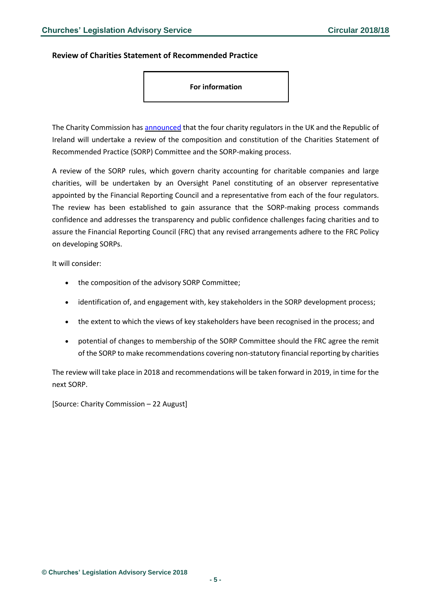#### <span id="page-4-0"></span>**Review of Charities Statement of Recommended Practice**

#### **For information**

The Charity Commission has [announced](http://www.gov.uk/government/news/charity-regulators-hold-governance-review-of-sorp-making-process) that the four charity regulators in the UK and the Republic of Ireland will undertake a review of the composition and constitution of the Charities Statement of Recommended Practice (SORP) Committee and the SORP-making process.

A review of the SORP rules, which govern charity accounting for charitable companies and large charities, will be undertaken by an Oversight Panel constituting of an observer representative appointed by the Financial Reporting Council and a representative from each of the four regulators. The review has been established to gain assurance that the SORP-making process commands confidence and addresses the transparency and public confidence challenges facing charities and to assure the Financial Reporting Council (FRC) that any revised arrangements adhere to the FRC Policy on developing SORPs.

It will consider:

- the composition of the advisory SORP Committee;
- identification of, and engagement with, key stakeholders in the SORP development process;
- the extent to which the views of key stakeholders have been recognised in the process; and
- potential of changes to membership of the SORP Committee should the FRC agree the remit of the SORP to make recommendations covering non-statutory financial reporting by charities

The review will take place in 2018 and recommendations will be taken forward in 2019, in time for the next SORP.

[Source: Charity Commission – 22 August]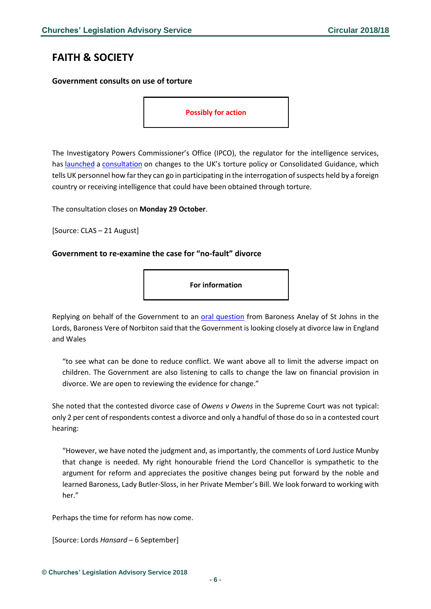# <span id="page-5-0"></span>**FAITH & SOCIETY**

### <span id="page-5-1"></span>**Government consults on use of torture**

**Possibly for action**

The Investigatory Powers Commissioner's Office (IPCO), the regulator for the intelligence services, has [launched](https://www.ipco.org.uk/Default.aspx?mid=4.15) a [consultation](https://www.ipco.org.uk/docs/IPCO%20Consultation%20on%20the%20Consolidated%20Guidance.pdf) on changes to the UK's torture policy or Consolidated Guidance, which tells UK personnel how far they can go in participating in the interrogation of suspects held by a foreign country or receiving intelligence that could have been obtained through torture.

The consultation closes on **Monday 29 October**.

[Source: CLAS – 21 August]

#### <span id="page-5-2"></span>**Government to re-examine the case for "no-fault" divorce**

**For information**

Replying on behalf of the Government to an [oral question](https://hansard.parliament.uk/lords/2018-09-06/debates/5085A1E1-C323-4517-B5AB-8C9FF7190BBF/DivorceLaw) from Baroness Anelay of St Johns in the Lords, Baroness Vere of Norbiton said that the Government is looking closely at divorce law in England and Wales

"to see what can be done to reduce conflict. We want above all to limit the adverse impact on children. The Government are also listening to calls to change the law on financial provision in divorce. We are open to reviewing the evidence for change."

She noted that the contested divorce case of *Owens v Owens* in the Supreme Court was not typical: only 2 per cent of respondents contest a divorce and only a handful of those do so in a contested court hearing:

"However, we have noted the judgment and, as importantly, the comments of Lord Justice Munby that change is needed. My right honourable friend the Lord Chancellor is sympathetic to the argument for reform and appreciates the positive changes being put forward by the noble and learned Baroness, Lady Butler-Sloss, in her Private Member's Bill. We look forward to working with her."

Perhaps the time for reform has now come.

[Source: Lords *Hansard* – 6 September]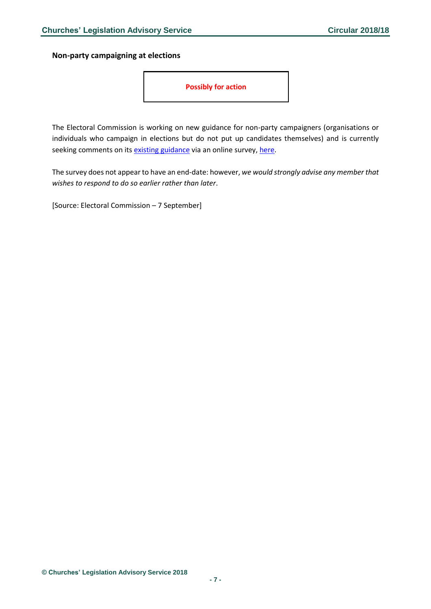<span id="page-6-0"></span>**Non-party campaigning at elections**

**Possibly for action**

The Electoral Commission is working on new guidance for non-party campaigners (organisations or individuals who campaign in elections but do not put up candidates themselves) and is currently seeking comments on its [existing guidance](https://www.electoralcommission.org.uk/i-am-a/party-or-campaigner/non-party-campaigners) via an online survey, [here.](https://www.electoralcommission.org.uk/i-am-a/party-or-campaigner/non-party-campaigners)

The survey does not appear to have an end-date: however, *we would strongly advise any member that wishes to respond to do so earlier rather than later*.

[Source: Electoral Commission – 7 September]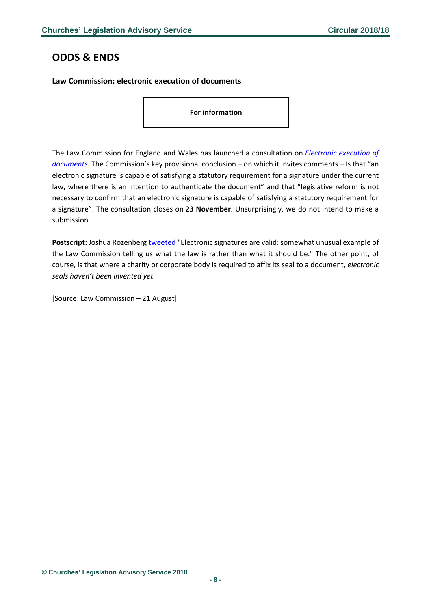## <span id="page-7-0"></span>**ODDS & ENDS**

### <span id="page-7-1"></span>**Law Commission: electronic execution of documents**

**For information**

The Law Commission for England and Wales has launched a consultation on *[Electronic execution of](https://s3-eu-west-2.amazonaws.com/lawcom-prod-storage-11jsxou24uy7q/uploads/2018/08/Electronic-execution-of-documents-consultation-paper.pdf)  [documents](https://s3-eu-west-2.amazonaws.com/lawcom-prod-storage-11jsxou24uy7q/uploads/2018/08/Electronic-execution-of-documents-consultation-paper.pdf)*. The Commission's key provisional conclusion – on which it invites comments – Is that "an electronic signature is capable of satisfying a statutory requirement for a signature under the current law, where there is an intention to authenticate the document" and that "legislative reform is not necessary to confirm that an electronic signature is capable of satisfying a statutory requirement for a signature". The consultation closes on **23 November**. Unsurprisingly, we do not intend to make a submission.

**Postscript:** Joshua Rozenberg [tweeted](https://twitter.com/JoshuaRozenberg/status/1031812890217639936) "Electronic signatures are valid: somewhat unusual example of the Law Commission telling us what the law is rather than what it should be." The other point, of course, is that where a charity or corporate body is required to affix its seal to a document, *electronic seals haven't been invented yet.*

[Source: Law Commission – 21 August]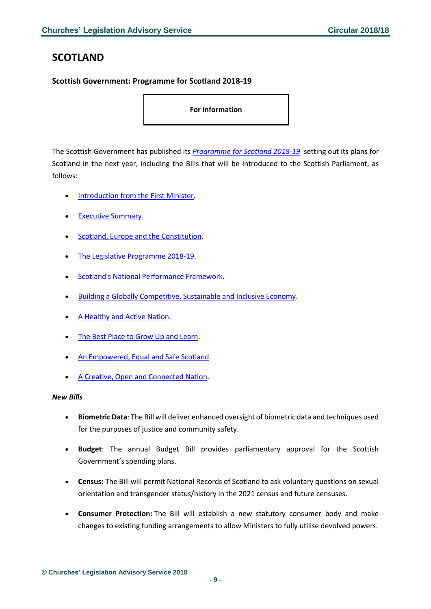# <span id="page-8-0"></span>**SCOTLAND**

<span id="page-8-1"></span>**Scottish Government: Programme for Scotland 2018-19**

**For information** 

The Scottish Government has published its *[Programme for Scotland 2018-19](https://bit.ly/2wJkWlY)* setting out its plans for Scotland in the next year, including the Bills that will be introduced to the Scottish Parliament, as follows:

- [Introduction from the First Minister.](https://bit.ly/2NLqkvw)
- [Executive Summary.](https://bit.ly/2oF2aI2)
- [Scotland, Europe and the Constitution.](https://bit.ly/2wFt6Mk)
- [The Legislative Programme 2018-19.](https://bit.ly/2NRVlOc)
- [Scotland's National Performance Framework.](https://bit.ly/2NaWFyT)
- [Building a Globally Competitive, Sustainable and Inclusive Economy.](https://bit.ly/2oDl1TW)
- [A Healthy and Active Nation.](https://bit.ly/2NaXgk7)
- [The Best Place to Grow Up and Learn.](https://bit.ly/2wIrjWF)
- [An Empowered, Equal and Safe Scotland.](https://bit.ly/2NOucvE)
- [A Creative, Open and Connected Nation.](https://bit.ly/2wOjWMX)

#### *New Bills*

- **Biometric Data**: The Bill will deliver enhanced oversight of biometric data and techniques used for the purposes of justice and community safety.
- **Budget**: The annual Budget Bill provides parliamentary approval for the Scottish Government's spending plans.
- **Census:** The Bill will permit National Records of Scotland to ask voluntary questions on sexual orientation and transgender status/history in the 2021 census and future censuses.
- **Consumer Protection:** The Bill will establish a new statutory consumer body and make changes to existing funding arrangements to allow Ministers to fully utilise devolved powers.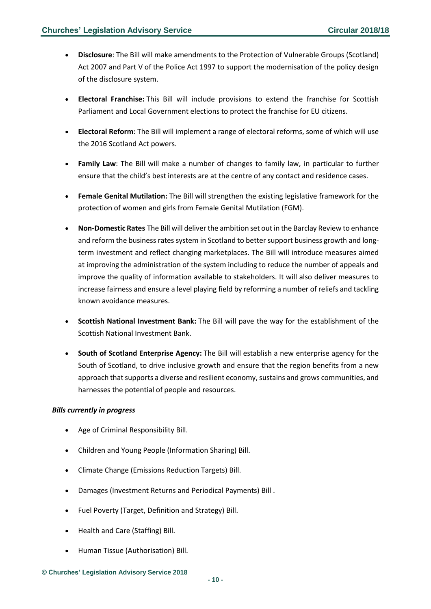- **Disclosure**: The Bill will make amendments to the Protection of Vulnerable Groups (Scotland) Act 2007 and Part V of the Police Act 1997 to support the modernisation of the policy design of the disclosure system.
- **Electoral Franchise:** This Bill will include provisions to extend the franchise for Scottish Parliament and Local Government elections to protect the franchise for EU citizens.
- **Electoral Reform**: The Bill will implement a range of electoral reforms, some of which will use the 2016 Scotland Act powers.
- **Family Law**: The Bill will make a number of changes to family law, in particular to further ensure that the child's best interests are at the centre of any contact and residence cases.
- **Female Genital Mutilation:** The Bill will strengthen the existing legislative framework for the protection of women and girls from Female Genital Mutilation (FGM).
- **Non-Domestic Rates** The Bill will deliver the ambition set out in the Barclay Review to enhance and reform the business rates system in Scotland to better support business growth and longterm investment and reflect changing marketplaces. The Bill will introduce measures aimed at improving the administration of the system including to reduce the number of appeals and improve the quality of information available to stakeholders. It will also deliver measures to increase fairness and ensure a level playing field by reforming a number of reliefs and tackling known avoidance measures.
- **Scottish National Investment Bank:** The Bill will pave the way for the establishment of the Scottish National Investment Bank.
- **South of Scotland Enterprise Agency:** The Bill will establish a new enterprise agency for the South of Scotland, to drive inclusive growth and ensure that the region benefits from a new approach that supports a diverse and resilient economy, sustains and grows communities, and harnesses the potential of people and resources.

#### *Bills currently in progress*

- Age of Criminal Responsibility Bill.
- Children and Young People (Information Sharing) Bill.
- Climate Change (Emissions Reduction Targets) Bill.
- Damages (Investment Returns and Periodical Payments) Bill .
- Fuel Poverty (Target, Definition and Strategy) Bill.
- Health and Care (Staffing) Bill.
- Human Tissue (Authorisation) Bill.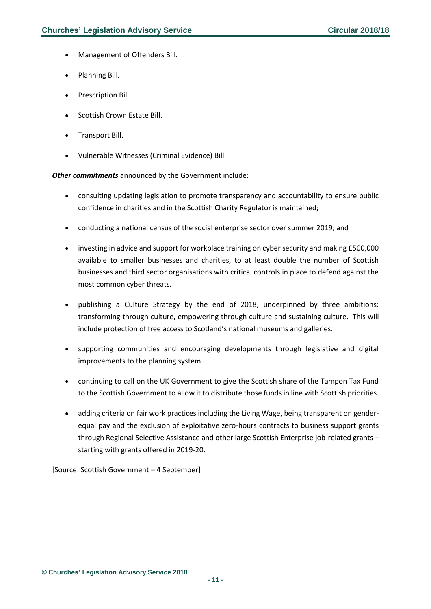- Management of Offenders Bill.
- Planning Bill.
- Prescription Bill.
- Scottish Crown Estate Bill.
- Transport Bill.
- Vulnerable Witnesses (Criminal Evidence) Bill

*Other commitments* announced by the Government include:

- consulting updating legislation to promote transparency and accountability to ensure public confidence in charities and in the Scottish Charity Regulator is maintained;
- conducting a national census of the social enterprise sector over summer 2019; and
- investing in advice and support for workplace training on cyber security and making £500,000 available to smaller businesses and charities, to at least double the number of Scottish businesses and third sector organisations with critical controls in place to defend against the most common cyber threats.
- publishing a Culture Strategy by the end of 2018, underpinned by three ambitions: transforming through culture, empowering through culture and sustaining culture. This will include protection of free access to Scotland's national museums and galleries.
- supporting communities and encouraging developments through legislative and digital improvements to the planning system.
- continuing to call on the UK Government to give the Scottish share of the Tampon Tax Fund to the Scottish Government to allow it to distribute those funds in line with Scottish priorities.
- adding criteria on fair work practices including the Living Wage, being transparent on genderequal pay and the exclusion of exploitative zero-hours contracts to business support grants through Regional Selective Assistance and other large Scottish Enterprise job-related grants – starting with grants offered in 2019-20.

[Source: Scottish Government – 4 September]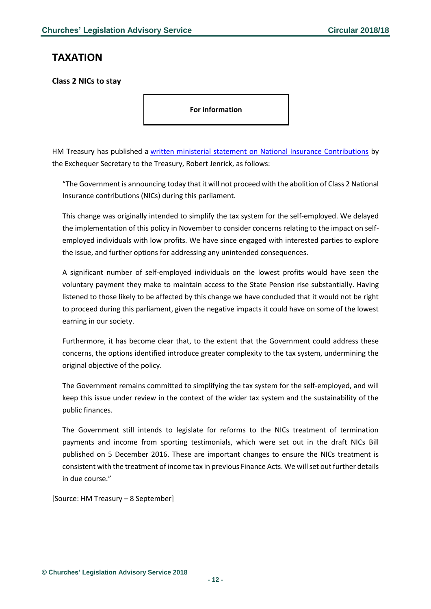# <span id="page-11-0"></span>**TAXATION**

<span id="page-11-1"></span>**Class 2 NICs to stay**

**For information** 

HM Treasury has published a [written ministerial statement on National Insurance Contributions](https://bit.ly/2M64RM9) by the Exchequer Secretary to the Treasury, Robert Jenrick, as follows:

"The Government is announcing today that it will not proceed with the abolition of Class 2 National Insurance contributions (NICs) during this parliament.

This change was originally intended to simplify the tax system for the self-employed. We delayed the implementation of this policy in November to consider concerns relating to the impact on selfemployed individuals with low profits. We have since engaged with interested parties to explore the issue, and further options for addressing any unintended consequences.

A significant number of self-employed individuals on the lowest profits would have seen the voluntary payment they make to maintain access to the State Pension rise substantially. Having listened to those likely to be affected by this change we have concluded that it would not be right to proceed during this parliament, given the negative impacts it could have on some of the lowest earning in our society.

Furthermore, it has become clear that, to the extent that the Government could address these concerns, the options identified introduce greater complexity to the tax system, undermining the original objective of the policy.

The Government remains committed to simplifying the tax system for the self-employed, and will keep this issue under review in the context of the wider tax system and the sustainability of the public finances.

The Government still intends to legislate for reforms to the NICs treatment of termination payments and income from sporting testimonials, which were set out in the draft NICs Bill published on 5 December 2016. These are important changes to ensure the NICs treatment is consistent with the treatment of income tax in previous Finance Acts. We will set out further details in due course."

[Source: HM Treasury – 8 September]